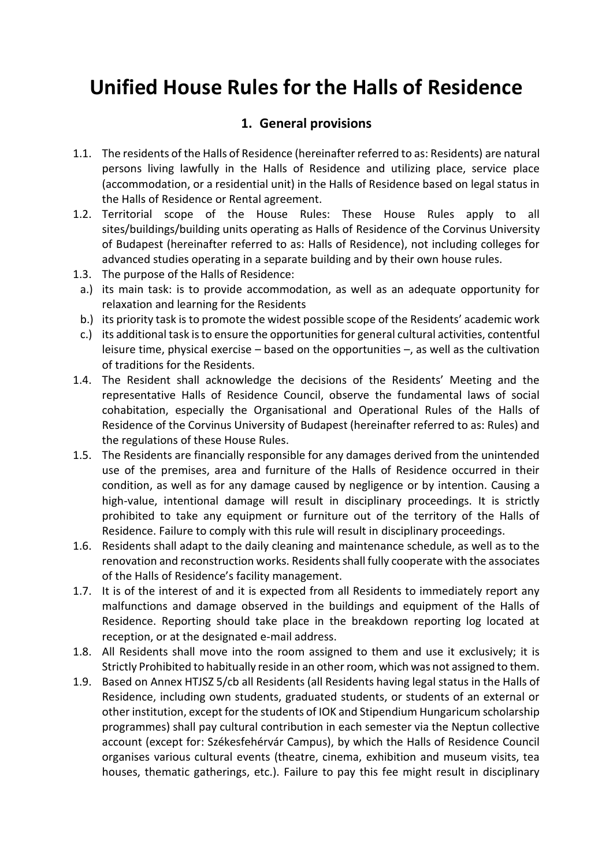# **Unified House Rules for the Halls of Residence**

# **1. General provisions**

- 1.1. The residents of the Halls of Residence (hereinafter referred to as: Residents) are natural persons living lawfully in the Halls of Residence and utilizing place, service place (accommodation, or a residential unit) in the Halls of Residence based on legal status in the Halls of Residence or Rental agreement.
- 1.2. Territorial scope of the House Rules: These House Rules apply to all sites/buildings/building units operating as Halls of Residence of the Corvinus University of Budapest (hereinafter referred to as: Halls of Residence), not including colleges for advanced studies operating in a separate building and by their own house rules.
- 1.3. The purpose of the Halls of Residence:
- a.) its main task: is to provide accommodation, as well as an adequate opportunity for relaxation and learning for the Residents
- b.) its priority task is to promote the widest possible scope of the Residents' academic work
- c.) its additional task is to ensure the opportunities for general cultural activities, contentful leisure time, physical exercise – based on the opportunities –, as well as the cultivation of traditions for the Residents.
- 1.4. The Resident shall acknowledge the decisions of the Residents' Meeting and the representative Halls of Residence Council, observe the fundamental laws of social cohabitation, especially the Organisational and Operational Rules of the Halls of Residence of the Corvinus University of Budapest (hereinafter referred to as: Rules) and the regulations of these House Rules.
- 1.5. The Residents are financially responsible for any damages derived from the unintended use of the premises, area and furniture of the Halls of Residence occurred in their condition, as well as for any damage caused by negligence or by intention. Causing a high-value, intentional damage will result in disciplinary proceedings. It is strictly prohibited to take any equipment or furniture out of the territory of the Halls of Residence. Failure to comply with this rule will result in disciplinary proceedings.
- 1.6. Residents shall adapt to the daily cleaning and maintenance schedule, as well as to the renovation and reconstruction works. Residents shall fully cooperate with the associates of the Halls of Residence's facility management.
- 1.7. It is of the interest of and it is expected from all Residents to immediately report any malfunctions and damage observed in the buildings and equipment of the Halls of Residence. Reporting should take place in the breakdown reporting log located at reception, or at the designated e-mail address.
- 1.8. All Residents shall move into the room assigned to them and use it exclusively; it is Strictly Prohibited to habitually reside in an other room, which was not assigned to them.
- 1.9. Based on Annex HTJSZ 5/cb all Residents (all Residents having legal status in the Halls of Residence, including own students, graduated students, or students of an external or other institution, except for the students of IOK and Stipendium Hungaricum scholarship programmes) shall pay cultural contribution in each semester via the Neptun collective account (except for: Székesfehérvár Campus), by which the Halls of Residence Council organises various cultural events (theatre, cinema, exhibition and museum visits, tea houses, thematic gatherings, etc.). Failure to pay this fee might result in disciplinary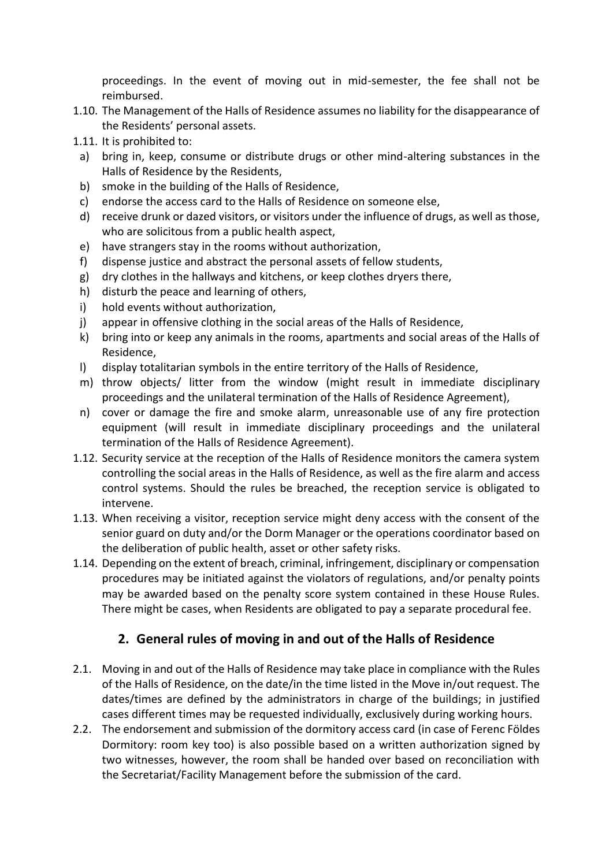proceedings. In the event of moving out in mid-semester, the fee shall not be reimbursed.

- 1.10. The Management of the Halls of Residence assumes no liability for the disappearance of the Residents' personal assets.
- 1.11. It is prohibited to:
- a) bring in, keep, consume or distribute drugs or other mind-altering substances in the Halls of Residence by the Residents,
- b) smoke in the building of the Halls of Residence,
- c) endorse the access card to the Halls of Residence on someone else,
- d) receive drunk or dazed visitors, or visitors under the influence of drugs, as well as those, who are solicitous from a public health aspect,
- e) have strangers stay in the rooms without authorization,
- f) dispense justice and abstract the personal assets of fellow students,
- g) dry clothes in the hallways and kitchens, or keep clothes dryers there,
- h) disturb the peace and learning of others,
- i) hold events without authorization,
- j) appear in offensive clothing in the social areas of the Halls of Residence,
- k) bring into or keep any animals in the rooms, apartments and social areas of the Halls of Residence,
- l) display totalitarian symbols in the entire territory of the Halls of Residence,
- m) throw objects/ litter from the window (might result in immediate disciplinary proceedings and the unilateral termination of the Halls of Residence Agreement),
- n) cover or damage the fire and smoke alarm, unreasonable use of any fire protection equipment (will result in immediate disciplinary proceedings and the unilateral termination of the Halls of Residence Agreement).
- 1.12. Security service at the reception of the Halls of Residence monitors the camera system controlling the social areas in the Halls of Residence, as well as the fire alarm and access control systems. Should the rules be breached, the reception service is obligated to intervene.
- 1.13. When receiving a visitor, reception service might deny access with the consent of the senior guard on duty and/or the Dorm Manager or the operations coordinator based on the deliberation of public health, asset or other safety risks.
- 1.14. Depending on the extent of breach, criminal, infringement, disciplinary or compensation procedures may be initiated against the violators of regulations, and/or penalty points may be awarded based on the penalty score system contained in these House Rules. There might be cases, when Residents are obligated to pay a separate procedural fee.

# **2. General rules of moving in and out of the Halls of Residence**

- 2.1. Moving in and out of the Halls of Residence may take place in compliance with the Rules of the Halls of Residence, on the date/in the time listed in the Move in/out request. The dates/times are defined by the administrators in charge of the buildings; in justified cases different times may be requested individually, exclusively during working hours.
- 2.2. The endorsement and submission of the dormitory access card (in case of Ferenc Földes Dormitory: room key too) is also possible based on a written authorization signed by two witnesses, however, the room shall be handed over based on reconciliation with the Secretariat/Facility Management before the submission of the card.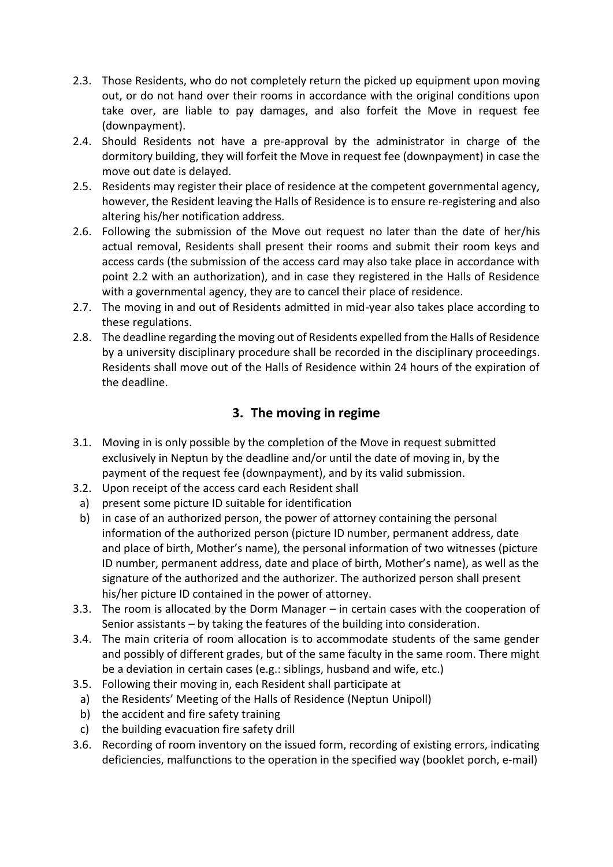- 2.3. Those Residents, who do not completely return the picked up equipment upon moving out, or do not hand over their rooms in accordance with the original conditions upon take over, are liable to pay damages, and also forfeit the Move in request fee (downpayment).
- 2.4. Should Residents not have a pre-approval by the administrator in charge of the dormitory building, they will forfeit the Move in request fee (downpayment) in case the move out date is delayed.
- 2.5. Residents may register their place of residence at the competent governmental agency, however, the Resident leaving the Halls of Residence is to ensure re-registering and also altering his/her notification address.
- 2.6. Following the submission of the Move out request no later than the date of her/his actual removal, Residents shall present their rooms and submit their room keys and access cards (the submission of the access card may also take place in accordance with point 2.2 with an authorization), and in case they registered in the Halls of Residence with a governmental agency, they are to cancel their place of residence.
- 2.7. The moving in and out of Residents admitted in mid-year also takes place according to these regulations.
- 2.8. The deadline regarding the moving out of Residents expelled from the Halls of Residence by a university disciplinary procedure shall be recorded in the disciplinary proceedings. Residents shall move out of the Halls of Residence within 24 hours of the expiration of the deadline.

# **3. The moving in regime**

- 3.1. Moving in is only possible by the completion of the Move in request submitted exclusively in Neptun by the deadline and/or until the date of moving in, by the payment of the request fee (downpayment), and by its valid submission.
- 3.2. Upon receipt of the access card each Resident shall
- a) present some picture ID suitable for identification
- b) in case of an authorized person, the power of attorney containing the personal information of the authorized person (picture ID number, permanent address, date and place of birth, Mother's name), the personal information of two witnesses (picture ID number, permanent address, date and place of birth, Mother's name), as well as the signature of the authorized and the authorizer. The authorized person shall present his/her picture ID contained in the power of attorney.
- 3.3. The room is allocated by the Dorm Manager in certain cases with the cooperation of Senior assistants – by taking the features of the building into consideration.
- 3.4. The main criteria of room allocation is to accommodate students of the same gender and possibly of different grades, but of the same faculty in the same room. There might be a deviation in certain cases (e.g.: siblings, husband and wife, etc.)
- 3.5. Following their moving in, each Resident shall participate at
- a) the Residents' Meeting of the Halls of Residence (Neptun Unipoll)
- b) the accident and fire safety training
- c) the building evacuation fire safety drill
- 3.6. Recording of room inventory on the issued form, recording of existing errors, indicating deficiencies, malfunctions to the operation in the specified way (booklet porch, e-mail)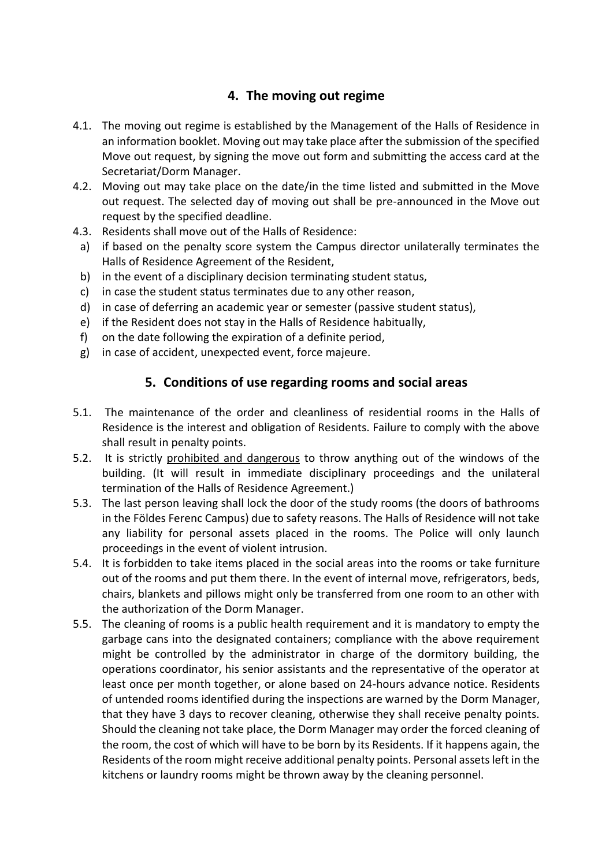# **4. The moving out regime**

- 4.1. The moving out regime is established by the Management of the Halls of Residence in an information booklet. Moving out may take place after the submission of the specified Move out request, by signing the move out form and submitting the access card at the Secretariat/Dorm Manager.
- 4.2. Moving out may take place on the date/in the time listed and submitted in the Move out request. The selected day of moving out shall be pre-announced in the Move out request by the specified deadline.
- 4.3. Residents shall move out of the Halls of Residence:
- a) if based on the penalty score system the Campus director unilaterally terminates the Halls of Residence Agreement of the Resident,
- b) in the event of a disciplinary decision terminating student status,
- c) in case the student status terminates due to any other reason,
- d) in case of deferring an academic year or semester (passive student status),
- e) if the Resident does not stay in the Halls of Residence habitually,
- f) on the date following the expiration of a definite period,
- g) in case of accident, unexpected event, force majeure.

## **5. Conditions of use regarding rooms and social areas**

- 5.1. The maintenance of the order and cleanliness of residential rooms in the Halls of Residence is the interest and obligation of Residents. Failure to comply with the above shall result in penalty points.
- 5.2. It is strictly prohibited and dangerous to throw anything out of the windows of the building. (It will result in immediate disciplinary proceedings and the unilateral termination of the Halls of Residence Agreement.)
- 5.3. The last person leaving shall lock the door of the study rooms (the doors of bathrooms in the Földes Ferenc Campus) due to safety reasons. The Halls of Residence will not take any liability for personal assets placed in the rooms. The Police will only launch proceedings in the event of violent intrusion.
- 5.4. It is forbidden to take items placed in the social areas into the rooms or take furniture out of the rooms and put them there. In the event of internal move, refrigerators, beds, chairs, blankets and pillows might only be transferred from one room to an other with the authorization of the Dorm Manager.
- 5.5. The cleaning of rooms is a public health requirement and it is mandatory to empty the garbage cans into the designated containers; compliance with the above requirement might be controlled by the administrator in charge of the dormitory building, the operations coordinator, his senior assistants and the representative of the operator at least once per month together, or alone based on 24-hours advance notice. Residents of untended rooms identified during the inspections are warned by the Dorm Manager, that they have 3 days to recover cleaning, otherwise they shall receive penalty points. Should the cleaning not take place, the Dorm Manager may order the forced cleaning of the room, the cost of which will have to be born by its Residents. If it happens again, the Residents of the room might receive additional penalty points. Personal assets left in the kitchens or laundry rooms might be thrown away by the cleaning personnel.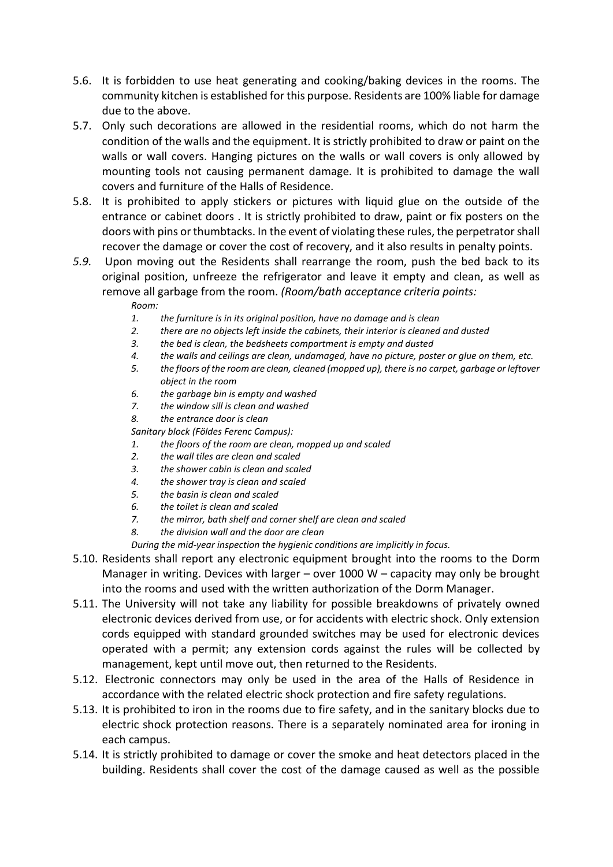- 5.6. It is forbidden to use heat generating and cooking/baking devices in the rooms. The community kitchen is established for this purpose. Residents are 100% liable for damage due to the above.
- 5.7. Only such decorations are allowed in the residential rooms, which do not harm the condition of the walls and the equipment. It is strictly prohibited to draw or paint on the walls or wall covers. Hanging pictures on the walls or wall covers is only allowed by mounting tools not causing permanent damage. It is prohibited to damage the wall covers and furniture of the Halls of Residence.
- 5.8. It is prohibited to apply stickers or pictures with liquid glue on the outside of the entrance or cabinet doors . It is strictly prohibited to draw, paint or fix posters on the doors with pins or thumbtacks. In the event of violating these rules, the perpetrator shall recover the damage or cover the cost of recovery, and it also results in penalty points.
- *5.9.* Upon moving out the Residents shall rearrange the room, push the bed back to its original position, unfreeze the refrigerator and leave it empty and clean, as well as remove all garbage from the room. *(Room/bath acceptance criteria points:*

*Room:*

- *1. the furniture is in its original position, have no damage and is clean*
- *2. there are no objects left inside the cabinets, their interior is cleaned and dusted*
- *3. the bed is clean, the bedsheets compartment is empty and dusted*
- *4. the walls and ceilings are clean, undamaged, have no picture, poster or glue on them, etc.*
- *5. the floors of the room are clean, cleaned (mopped up), there is no carpet, garbage or leftover object in the room*
- *6. the garbage bin is empty and washed*
- *7. the window sill is clean and washed*
- *8. the entrance door is clean*

*Sanitary block (Földes Ferenc Campus):*

- *1. the floors of the room are clean, mopped up and scaled*
- *2. the wall tiles are clean and scaled*
- *3. the shower cabin is clean and scaled*
- *4. the shower tray is clean and scaled*
- *5. the basin is clean and scaled*
- *6. the toilet is clean and scaled*
- *7. the mirror, bath shelf and corner shelf are clean and scaled*
- *8. the division wall and the door are clean*

*During the mid-year inspection the hygienic conditions are implicitly in focus.*

- 5.10. Residents shall report any electronic equipment brought into the rooms to the Dorm Manager in writing. Devices with larger – over 1000 W – capacity may only be brought into the rooms and used with the written authorization of the Dorm Manager.
- 5.11. The University will not take any liability for possible breakdowns of privately owned electronic devices derived from use, or for accidents with electric shock. Only extension cords equipped with standard grounded switches may be used for electronic devices operated with a permit; any extension cords against the rules will be collected by management, kept until move out, then returned to the Residents.
- 5.12. Electronic connectors may only be used in the area of the Halls of Residence in accordance with the related electric shock protection and fire safety regulations.
- 5.13. It is prohibited to iron in the rooms due to fire safety, and in the sanitary blocks due to electric shock protection reasons. There is a separately nominated area for ironing in each campus.
- 5.14. It is strictly prohibited to damage or cover the smoke and heat detectors placed in the building. Residents shall cover the cost of the damage caused as well as the possible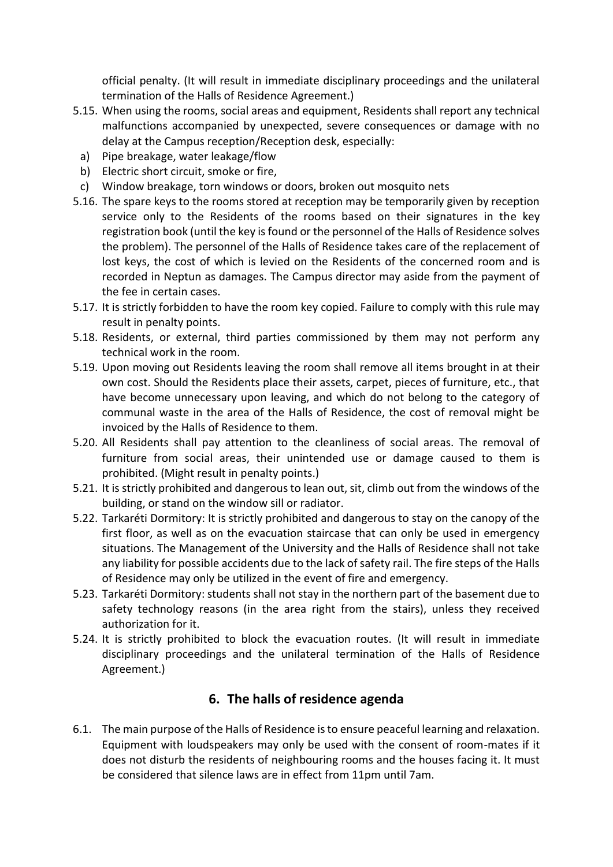official penalty. (It will result in immediate disciplinary proceedings and the unilateral termination of the Halls of Residence Agreement.)

- 5.15. When using the rooms, social areas and equipment, Residents shall report any technical malfunctions accompanied by unexpected, severe consequences or damage with no delay at the Campus reception/Reception desk, especially:
	- a) Pipe breakage, water leakage/flow
	- b) Electric short circuit, smoke or fire,
- c) Window breakage, torn windows or doors, broken out mosquito nets
- 5.16. The spare keys to the rooms stored at reception may be temporarily given by reception service only to the Residents of the rooms based on their signatures in the key registration book (until the key is found or the personnel of the Halls of Residence solves the problem). The personnel of the Halls of Residence takes care of the replacement of lost keys, the cost of which is levied on the Residents of the concerned room and is recorded in Neptun as damages. The Campus director may aside from the payment of the fee in certain cases.
- 5.17. It is strictly forbidden to have the room key copied. Failure to comply with this rule may result in penalty points.
- 5.18. Residents, or external, third parties commissioned by them may not perform any technical work in the room.
- 5.19. Upon moving out Residents leaving the room shall remove all items brought in at their own cost. Should the Residents place their assets, carpet, pieces of furniture, etc., that have become unnecessary upon leaving, and which do not belong to the category of communal waste in the area of the Halls of Residence, the cost of removal might be invoiced by the Halls of Residence to them.
- 5.20. All Residents shall pay attention to the cleanliness of social areas. The removal of furniture from social areas, their unintended use or damage caused to them is prohibited. (Might result in penalty points.)
- 5.21. It is strictly prohibited and dangerous to lean out, sit, climb out from the windows of the building, or stand on the window sill or radiator.
- 5.22. Tarkaréti Dormitory: It is strictly prohibited and dangerous to stay on the canopy of the first floor, as well as on the evacuation staircase that can only be used in emergency situations. The Management of the University and the Halls of Residence shall not take any liability for possible accidents due to the lack of safety rail. The fire steps of the Halls of Residence may only be utilized in the event of fire and emergency.
- 5.23. Tarkaréti Dormitory: students shall not stay in the northern part of the basement due to safety technology reasons (in the area right from the stairs), unless they received authorization for it.
- 5.24. It is strictly prohibited to block the evacuation routes. (It will result in immediate disciplinary proceedings and the unilateral termination of the Halls of Residence Agreement.)

# **6. The halls of residence agenda**

6.1. The main purpose of the Halls of Residence is to ensure peaceful learning and relaxation. Equipment with loudspeakers may only be used with the consent of room-mates if it does not disturb the residents of neighbouring rooms and the houses facing it. It must be considered that silence laws are in effect from 11pm until 7am.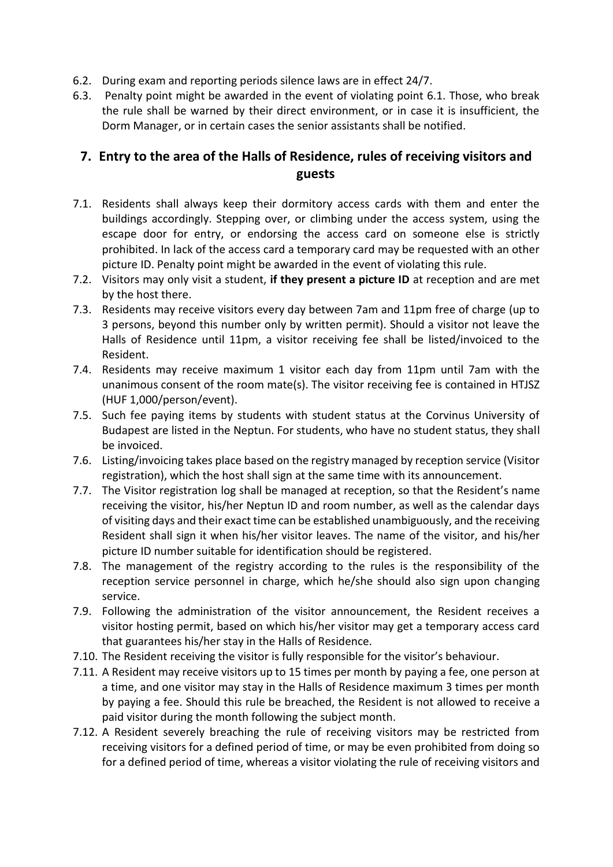- 6.2. During exam and reporting periods silence laws are in effect 24/7.
- 6.3. Penalty point might be awarded in the event of violating point 6.1. Those, who break the rule shall be warned by their direct environment, or in case it is insufficient, the Dorm Manager, or in certain cases the senior assistants shall be notified.

# **7. Entry to the area of the Halls of Residence, rules of receiving visitors and guests**

- 7.1. Residents shall always keep their dormitory access cards with them and enter the buildings accordingly. Stepping over, or climbing under the access system, using the escape door for entry, or endorsing the access card on someone else is strictly prohibited. In lack of the access card a temporary card may be requested with an other picture ID. Penalty point might be awarded in the event of violating this rule.
- 7.2. Visitors may only visit a student, **if they present a picture ID** at reception and are met by the host there.
- 7.3. Residents may receive visitors every day between 7am and 11pm free of charge (up to 3 persons, beyond this number only by written permit). Should a visitor not leave the Halls of Residence until 11pm, a visitor receiving fee shall be listed/invoiced to the Resident.
- 7.4. Residents may receive maximum 1 visitor each day from 11pm until 7am with the unanimous consent of the room mate(s). The visitor receiving fee is contained in HTJSZ (HUF 1,000/person/event).
- 7.5. Such fee paying items by students with student status at the Corvinus University of Budapest are listed in the Neptun. For students, who have no student status, they shall be invoiced.
- 7.6. Listing/invoicing takes place based on the registry managed by reception service (Visitor registration), which the host shall sign at the same time with its announcement.
- 7.7. The Visitor registration log shall be managed at reception, so that the Resident's name receiving the visitor, his/her Neptun ID and room number, as well as the calendar days of visiting days and their exact time can be established unambiguously, and the receiving Resident shall sign it when his/her visitor leaves. The name of the visitor, and his/her picture ID number suitable for identification should be registered.
- 7.8. The management of the registry according to the rules is the responsibility of the reception service personnel in charge, which he/she should also sign upon changing service.
- 7.9. Following the administration of the visitor announcement, the Resident receives a visitor hosting permit, based on which his/her visitor may get a temporary access card that guarantees his/her stay in the Halls of Residence.
- 7.10. The Resident receiving the visitor is fully responsible for the visitor's behaviour.
- 7.11. A Resident may receive visitors up to 15 times per month by paying a fee, one person at a time, and one visitor may stay in the Halls of Residence maximum 3 times per month by paying a fee. Should this rule be breached, the Resident is not allowed to receive a paid visitor during the month following the subject month.
- 7.12. A Resident severely breaching the rule of receiving visitors may be restricted from receiving visitors for a defined period of time, or may be even prohibited from doing so for a defined period of time, whereas a visitor violating the rule of receiving visitors and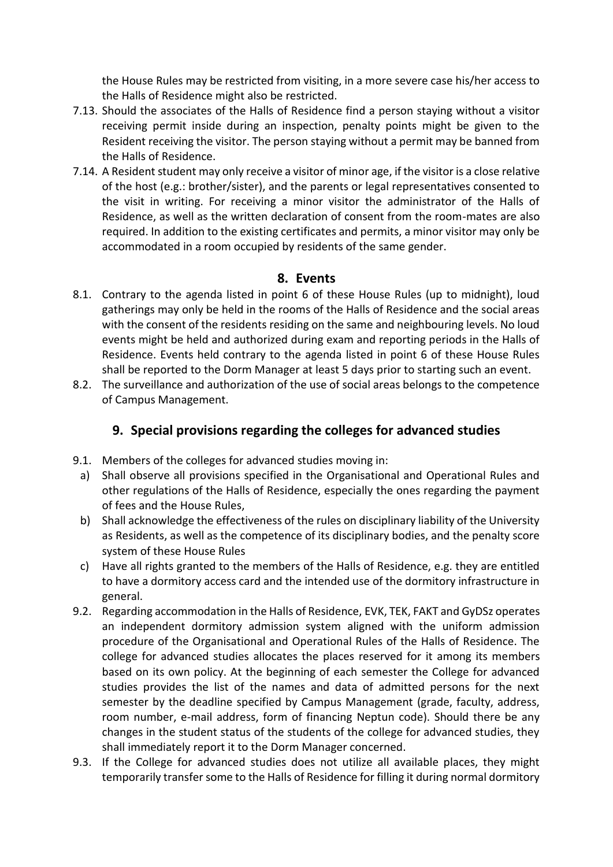the House Rules may be restricted from visiting, in a more severe case his/her access to the Halls of Residence might also be restricted.

- 7.13. Should the associates of the Halls of Residence find a person staying without a visitor receiving permit inside during an inspection, penalty points might be given to the Resident receiving the visitor. The person staying without a permit may be banned from the Halls of Residence.
- 7.14. A Resident student may only receive a visitor of minor age, if the visitor is a close relative of the host (e.g.: brother/sister), and the parents or legal representatives consented to the visit in writing. For receiving a minor visitor the administrator of the Halls of Residence, as well as the written declaration of consent from the room-mates are also required. In addition to the existing certificates and permits, a minor visitor may only be accommodated in a room occupied by residents of the same gender.

## **8. Events**

- 8.1. Contrary to the agenda listed in point 6 of these House Rules (up to midnight), loud gatherings may only be held in the rooms of the Halls of Residence and the social areas with the consent of the residents residing on the same and neighbouring levels. No loud events might be held and authorized during exam and reporting periods in the Halls of Residence. Events held contrary to the agenda listed in point 6 of these House Rules shall be reported to the Dorm Manager at least 5 days prior to starting such an event.
- 8.2. The surveillance and authorization of the use of social areas belongs to the competence of Campus Management.

# **9. Special provisions regarding the colleges for advanced studies**

- 9.1. Members of the colleges for advanced studies moving in:
- a) Shall observe all provisions specified in the Organisational and Operational Rules and other regulations of the Halls of Residence, especially the ones regarding the payment of fees and the House Rules,
- b) Shall acknowledge the effectiveness of the rules on disciplinary liability of the University as Residents, as well as the competence of its disciplinary bodies, and the penalty score system of these House Rules
- c) Have all rights granted to the members of the Halls of Residence, e.g. they are entitled to have a dormitory access card and the intended use of the dormitory infrastructure in general.
- 9.2. Regarding accommodation in the Halls of Residence, EVK, TEK, FAKT and GyDSz operates an independent dormitory admission system aligned with the uniform admission procedure of the Organisational and Operational Rules of the Halls of Residence. The college for advanced studies allocates the places reserved for it among its members based on its own policy. At the beginning of each semester the College for advanced studies provides the list of the names and data of admitted persons for the next semester by the deadline specified by Campus Management (grade, faculty, address, room number, e-mail address, form of financing Neptun code). Should there be any changes in the student status of the students of the college for advanced studies, they shall immediately report it to the Dorm Manager concerned.
- 9.3. If the College for advanced studies does not utilize all available places, they might temporarily transfer some to the Halls of Residence for filling it during normal dormitory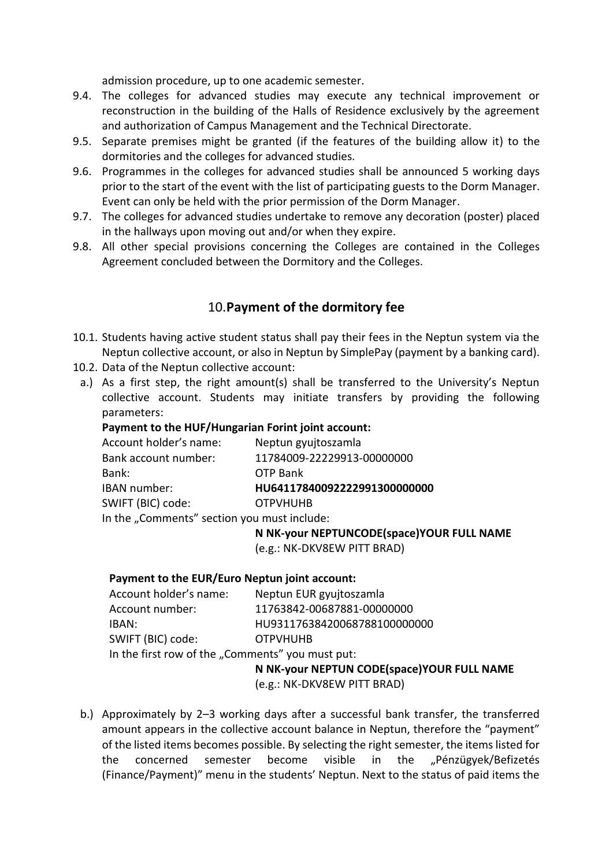admission procedure, up to one academic semester.

- 9.4. The colleges for advanced studies may execute any technical improvement or reconstruction in the building of the Halls of Residence exclusively by the agreement and authorization of Campus Management and the Technical Directorate.
- 9.5. Separate premises might be granted (if the features of the building allow it) to the dormitories and the colleges for advanced studies.
- 9.6. Programmes in the colleges for advanced studies shall be announced 5 working days prior to the start of the event with the list of participating guests to the Dorm Manager. Event can only be held with the prior permission of the Dorm Manager.
- 9.7. The colleges for advanced studies undertake to remove any decoration (poster) placed in the hallways upon moving out and/or when they expire.
- 9.8. All other special provisions concerning the Colleges are contained in the Colleges Agreement concluded between the Dormitory and the Colleges.

# 10.**Payment of the dormitory fee**

- 10.1. Students having active student status shall pay their fees in the Neptun system via the Neptun collective account, or also in Neptun by SimplePay (payment by a banking card).
- 10.2. Data of the Neptun collective account:
- a.) As a first step, the right amount(s) shall be transferred to the University's Neptun collective account. Students may initiate transfers by providing the following parameters:

## **Payment to the HUF/Hungarian Forint joint account:**

| Account holder's name:                      | Neptun gyujtoszamla          |
|---------------------------------------------|------------------------------|
| Bank account number:                        | 11784009-22229913-00000000   |
| Bank:                                       | OTP Bank                     |
| IBAN number:                                | HU64117840092222991300000000 |
| SWIFT (BIC) code:                           | <b>OTPVHUHB</b>              |
| In the "Comments" section you must include: |                              |

**N NK-your NEPTUNCODE(space)YOUR FULL NAME**

(e.g.: NK-DKV8EW PITT BRAD)

#### **Payment to the EUR/Euro Neptun joint account:**

| Account holder's name:                           | Neptun EUR gyujtoszamla      |
|--------------------------------------------------|------------------------------|
| Account number:                                  | 11763842-00687881-00000000   |
| IBAN:                                            | HU93117638420068788100000000 |
| SWIFT (BIC) code:                                | <b>OTPVHUHB</b>              |
| In the first row of the "Comments" you must put: |                              |

**N NK-your NEPTUN CODE(space)YOUR FULL NAME**

(e.g.: NK-DKV8EW PITT BRAD)

b.) Approximately by 2–3 working days after a successful bank transfer, the transferred amount appears in the collective account balance in Neptun, therefore the "payment" of the listed items becomes possible. By selecting the right semester, the items listed for the concerned semester become visible in the "Pénzügyek/Befizetés (Finance/Payment)" menu in the students' Neptun. Next to the status of paid items the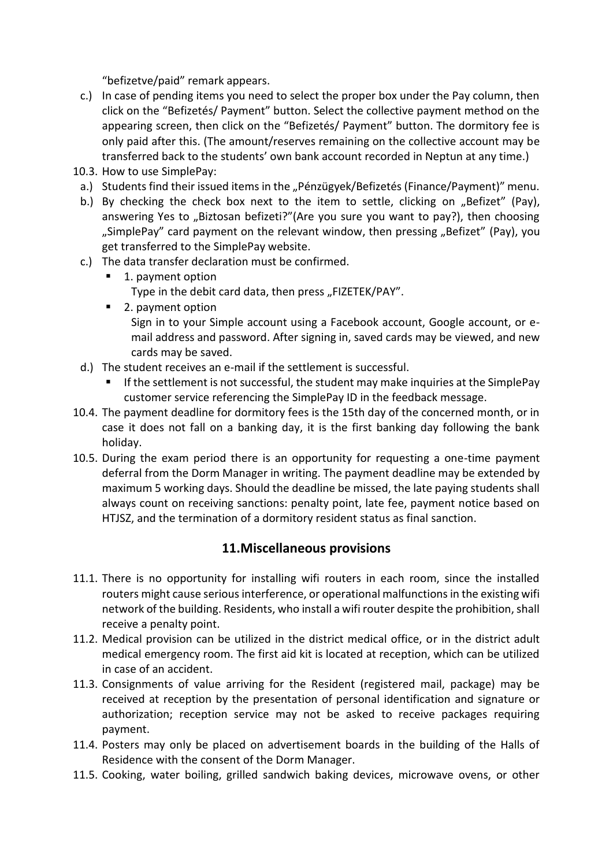"befizetve/paid" remark appears.

- c.) In case of pending items you need to select the proper box under the Pay column, then click on the "Befizetés/ Payment" button. Select the collective payment method on the appearing screen, then click on the "Befizetés/ Payment" button. The dormitory fee is only paid after this. (The amount/reserves remaining on the collective account may be transferred back to the students' own bank account recorded in Neptun at any time.)
- 10.3. How to use SimplePay:
- a.) Students find their issued items in the "Pénzügyek/Befizetés (Finance/Payment)" menu.
- b.) By checking the check box next to the item to settle, clicking on "Befizet" (Pay), answering Yes to "Biztosan befizeti?"(Are you sure you want to pay?), then choosing "SimplePay" card payment on the relevant window, then pressing "Befizet" (Pay), you get transferred to the SimplePay website.
- c.) The data transfer declaration must be confirmed.
	- 1. payment option Type in the debit card data, then press "FIZETEK/PAY".
	- 2. payment option Sign in to your Simple account using a Facebook account, Google account, or email address and password. After signing in, saved cards may be viewed, and new cards may be saved.
- d.) The student receives an e-mail if the settlement is successful.
	- If the settlement is not successful, the student may make inquiries at the SimplePay customer service referencing the SimplePay ID in the feedback message.
- 10.4. The payment deadline for dormitory fees is the 15th day of the concerned month, or in case it does not fall on a banking day, it is the first banking day following the bank holiday.
- 10.5. During the exam period there is an opportunity for requesting a one-time payment deferral from the Dorm Manager in writing. The payment deadline may be extended by maximum 5 working days. Should the deadline be missed, the late paying students shall always count on receiving sanctions: penalty point, late fee, payment notice based on HTJSZ, and the termination of a dormitory resident status as final sanction.

## **11.Miscellaneous provisions**

- 11.1. There is no opportunity for installing wifi routers in each room, since the installed routers might cause serious interference, or operational malfunctions in the existing wifi network of the building. Residents, who install a wifi router despite the prohibition, shall receive a penalty point.
- 11.2. Medical provision can be utilized in the district medical office, or in the district adult medical emergency room. The first aid kit is located at reception, which can be utilized in case of an accident.
- 11.3. Consignments of value arriving for the Resident (registered mail, package) may be received at reception by the presentation of personal identification and signature or authorization; reception service may not be asked to receive packages requiring payment.
- 11.4. Posters may only be placed on advertisement boards in the building of the Halls of Residence with the consent of the Dorm Manager.
- 11.5. Cooking, water boiling, grilled sandwich baking devices, microwave ovens, or other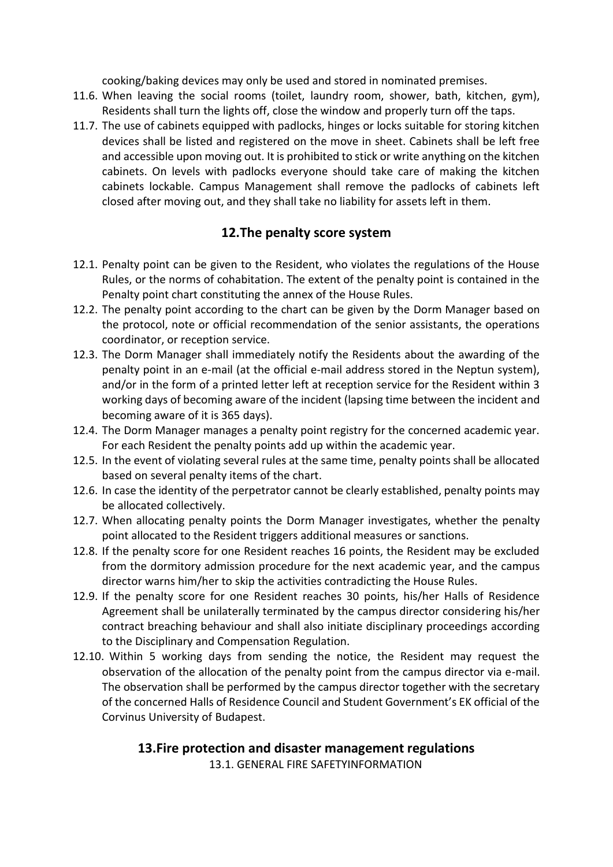cooking/baking devices may only be used and stored in nominated premises.

- 11.6. When leaving the social rooms (toilet, laundry room, shower, bath, kitchen, gym), Residents shall turn the lights off, close the window and properly turn off the taps.
- 11.7. The use of cabinets equipped with padlocks, hinges or locks suitable for storing kitchen devices shall be listed and registered on the move in sheet. Cabinets shall be left free and accessible upon moving out. It is prohibited to stick or write anything on the kitchen cabinets. On levels with padlocks everyone should take care of making the kitchen cabinets lockable. Campus Management shall remove the padlocks of cabinets left closed after moving out, and they shall take no liability for assets left in them.

# **12.The penalty score system**

- 12.1. Penalty point can be given to the Resident, who violates the regulations of the House Rules, or the norms of cohabitation. The extent of the penalty point is contained in the Penalty point chart constituting the annex of the House Rules.
- 12.2. The penalty point according to the chart can be given by the Dorm Manager based on the protocol, note or official recommendation of the senior assistants, the operations coordinator, or reception service.
- 12.3. The Dorm Manager shall immediately notify the Residents about the awarding of the penalty point in an e-mail (at the official e-mail address stored in the Neptun system), and/or in the form of a printed letter left at reception service for the Resident within 3 working days of becoming aware of the incident (lapsing time between the incident and becoming aware of it is 365 days).
- 12.4. The Dorm Manager manages a penalty point registry for the concerned academic year. For each Resident the penalty points add up within the academic year.
- 12.5. In the event of violating several rules at the same time, penalty points shall be allocated based on several penalty items of the chart.
- 12.6. In case the identity of the perpetrator cannot be clearly established, penalty points may be allocated collectively.
- 12.7. When allocating penalty points the Dorm Manager investigates, whether the penalty point allocated to the Resident triggers additional measures or sanctions.
- 12.8. If the penalty score for one Resident reaches 16 points, the Resident may be excluded from the dormitory admission procedure for the next academic year, and the campus director warns him/her to skip the activities contradicting the House Rules.
- 12.9. If the penalty score for one Resident reaches 30 points, his/her Halls of Residence Agreement shall be unilaterally terminated by the campus director considering his/her contract breaching behaviour and shall also initiate disciplinary proceedings according to the Disciplinary and Compensation Regulation.
- 12.10. Within 5 working days from sending the notice, the Resident may request the observation of the allocation of the penalty point from the campus director via e-mail. The observation shall be performed by the campus director together with the secretary of the concerned Halls of Residence Council and Student Government's EK official of the Corvinus University of Budapest.

## **13.Fire protection and disaster management regulations**

13.1. GENERAL FIRE SAFETYINFORMATION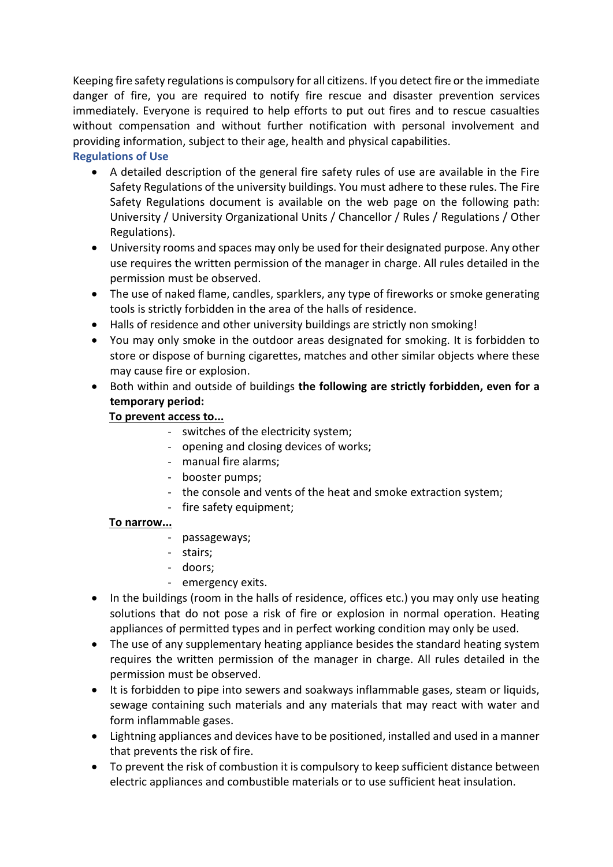Keeping fire safety regulations is compulsory for all citizens. If you detect fire or the immediate danger of fire, you are required to notify fire rescue and disaster prevention services immediately. Everyone is required to help efforts to put out fires and to rescue casualties without compensation and without further notification with personal involvement and providing information, subject to their age, health and physical capabilities.

## **Regulations of Use**

- A detailed description of the general fire safety rules of use are available in the Fire Safety Regulations of the university buildings. You must adhere to these rules. The Fire Safety Regulations document is available on the web page on the following path: University / University Organizational Units / Chancellor / Rules / Regulations / Other Regulations).
- University rooms and spaces may only be used for their designated purpose. Any other use requires the written permission of the manager in charge. All rules detailed in the permission must be observed.
- The use of naked flame, candles, sparklers, any type of fireworks or smoke generating tools is strictly forbidden in the area of the halls of residence.
- Halls of residence and other university buildings are strictly non smoking!
- You may only smoke in the outdoor areas designated for smoking. It is forbidden to store or dispose of burning cigarettes, matches and other similar objects where these may cause fire or explosion.
- Both within and outside of buildings **the following are strictly forbidden, even for a temporary period:**

## **To prevent access to...**

- switches of the electricity system;
- opening and closing devices of works;
- manual fire alarms;
- booster pumps;
- the console and vents of the heat and smoke extraction system;
- fire safety equipment;

# **To narrow...**

- passageways;
- stairs;
- doors;
- emergency exits.
- In the buildings (room in the halls of residence, offices etc.) you may only use heating solutions that do not pose a risk of fire or explosion in normal operation. Heating appliances of permitted types and in perfect working condition may only be used.
- The use of any supplementary heating appliance besides the standard heating system requires the written permission of the manager in charge. All rules detailed in the permission must be observed.
- It is forbidden to pipe into sewers and soakways inflammable gases, steam or liquids, sewage containing such materials and any materials that may react with water and form inflammable gases.
- Lightning appliances and devices have to be positioned, installed and used in a manner that prevents the risk of fire.
- To prevent the risk of combustion it is compulsory to keep sufficient distance between electric appliances and combustible materials or to use sufficient heat insulation.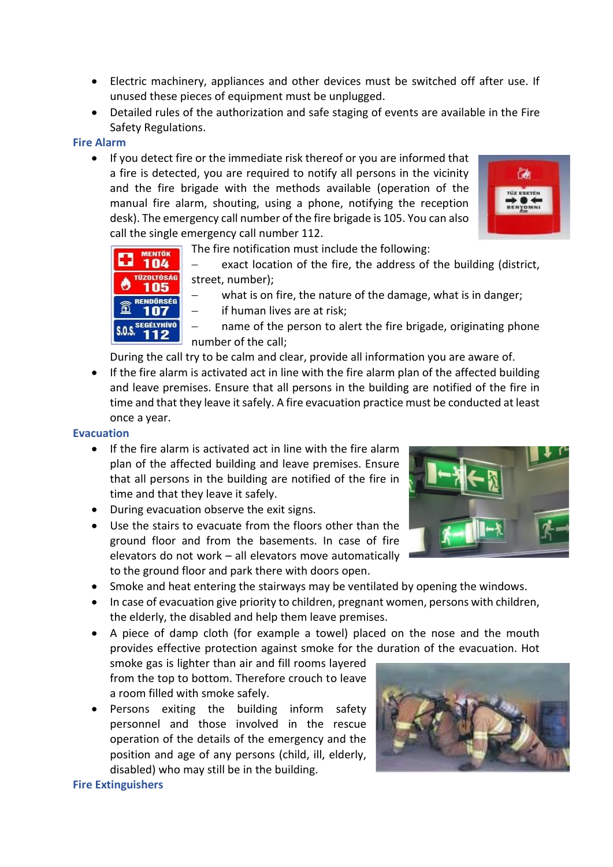- Electric machinery, appliances and other devices must be switched off after use. If unused these pieces of equipment must be unplugged.
- Detailed rules of the authorization and safe staging of events are available in the Fire Safety Regulations.

## **Fire Alarm**

• If you detect fire or the immediate risk thereof or you are informed that a fire is detected, you are required to notify all persons in the vicinity and the fire brigade with the methods available (operation of the manual fire alarm, shouting, using a phone, notifying the reception desk). The emergency call number of the fire brigade is 105. You can also call the single emergency call number 112.



MENTŐK 104 **TÜZOLTÓSÁG** 105 RENDÖRSÉG 107

- The fire notification must include the following:
	- exact location of the fire, the address of the building (district, street, number);
	- what is on fire, the nature of the damage, what is in danger;
	- if human lives are at risk;

name of the person to alert the fire brigade, originating phone number of the call;

During the call try to be calm and clear, provide all information you are aware of.

• If the fire alarm is activated act in line with the fire alarm plan of the affected building and leave premises. Ensure that all persons in the building are notified of the fire in time and that they leave it safely. A fire evacuation practice must be conducted at least once a year.

#### **Evacuation**

- If the fire alarm is activated act in line with the fire alarm plan of the affected building and leave premises. Ensure that all persons in the building are notified of the fire in time and that they leave it safely.
- During evacuation observe the exit signs.
- Use the stairs to evacuate from the floors other than the ground floor and from the basements. In case of fire elevators do not work – all elevators move automatically to the ground floor and park there with doors open.



- Smoke and heat entering the stairways may be ventilated by opening the windows.
- In case of evacuation give priority to children, pregnant women, persons with children, the elderly, the disabled and help them leave premises.

• A piece of damp cloth (for example a towel) placed on the nose and the mouth provides effective protection against smoke for the duration of the evacuation. Hot

smoke gas is lighter than air and fill rooms layered from the top to bottom. Therefore crouch to leave a room filled with smoke safely.

• Persons exiting the building inform safety personnel and those involved in the rescue operation of the details of the emergency and the position and age of any persons (child, ill, elderly, disabled) who may still be in the building.



## **Fire Extinguishers**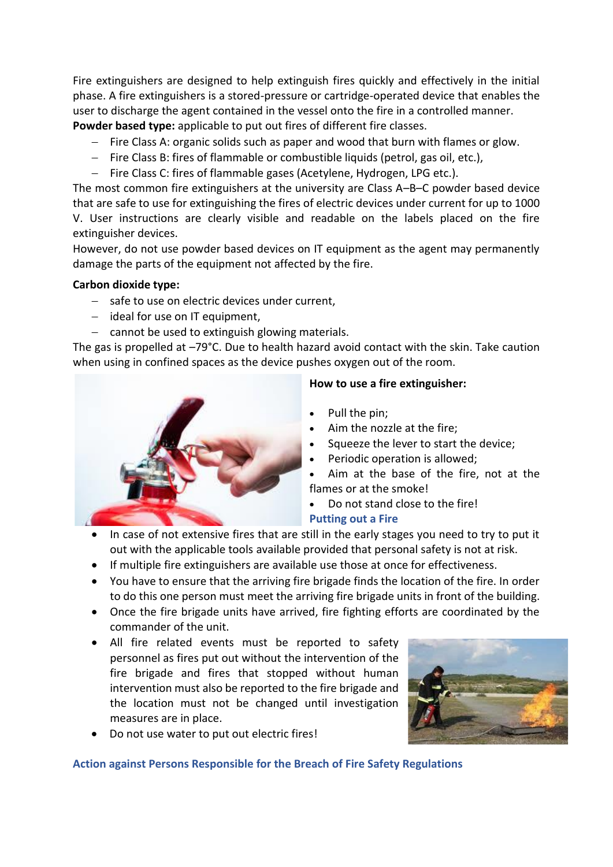Fire extinguishers are designed to help extinguish fires quickly and effectively in the initial phase. A fire extinguishers is a stored-pressure or cartridge-operated device that enables the user to discharge the agent contained in the vessel onto the fire in a controlled manner. **Powder based type:** applicable to put out fires of different fire classes.

- − Fire Class A: organic solids such as paper and wood that burn with flames or glow.
- − Fire Class B: fires of flammable or combustible liquids (petrol, gas oil, etc.),
- − Fire Class C: fires of flammable gases (Acetylene, Hydrogen, LPG etc.).

The most common fire extinguishers at the university are Class A–B–C powder based device that are safe to use for extinguishing the fires of electric devices under current for up to 1000 V. User instructions are clearly visible and readable on the labels placed on the fire extinguisher devices.

However, do not use powder based devices on IT equipment as the agent may permanently damage the parts of the equipment not affected by the fire.

## **Carbon dioxide type:**

- − safe to use on electric devices under current,
- − ideal for use on IT equipment,
- − cannot be used to extinguish glowing materials.

The gas is propelled at -79°C. Due to health hazard avoid contact with the skin. Take caution when using in confined spaces as the device pushes oxygen out of the room.



## **How to use a fire extinguisher:**

- Pull the pin;
- Aim the nozzle at the fire;
- Squeeze the lever to start the device;
- Periodic operation is allowed;
- Aim at the base of the fire, not at the flames or at the smoke!
	- Do not stand close to the fire!

**Putting out a Fire**

- In case of not extensive fires that are still in the early stages you need to try to put it out with the applicable tools available provided that personal safety is not at risk.
- If multiple fire extinguishers are available use those at once for effectiveness.
- You have to ensure that the arriving fire brigade finds the location of the fire. In order to do this one person must meet the arriving fire brigade units in front of the building.
- Once the fire brigade units have arrived, fire fighting efforts are coordinated by the commander of the unit.
- All fire related events must be reported to safety personnel as fires put out without the intervention of the fire brigade and fires that stopped without human intervention must also be reported to the fire brigade and the location must not be changed until investigation measures are in place.



• Do not use water to put out electric fires!

**Action against Persons Responsible for the Breach of Fire Safety Regulations**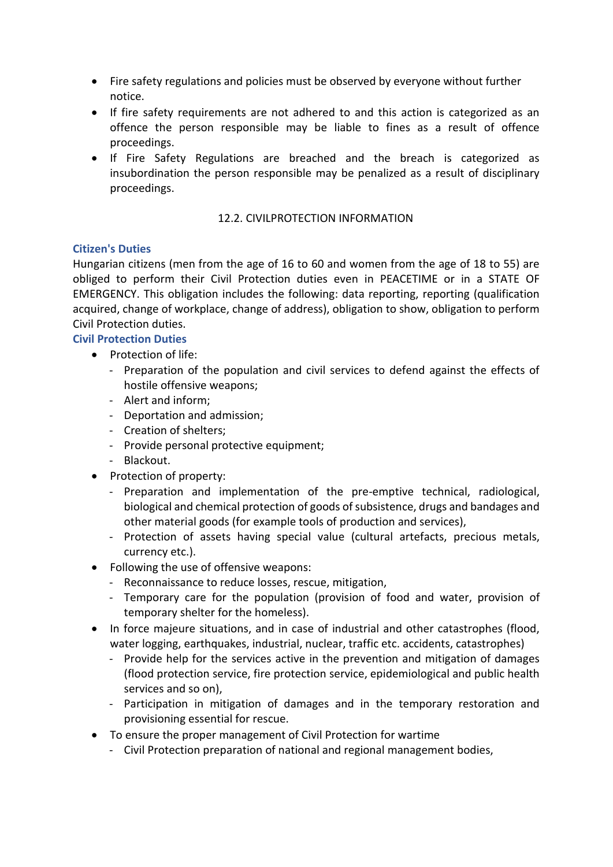- Fire safety regulations and policies must be observed by everyone without further notice.
- If fire safety requirements are not adhered to and this action is categorized as an offence the person responsible may be liable to fines as a result of offence proceedings.
- If Fire Safety Regulations are breached and the breach is categorized as insubordination the person responsible may be penalized as a result of disciplinary proceedings.

## 12.2. CIVILPROTECTION INFORMATION

## **Citizen's Duties**

Hungarian citizens (men from the age of 16 to 60 and women from the age of 18 to 55) are obliged to perform their Civil Protection duties even in PEACETIME or in a STATE OF EMERGENCY. This obligation includes the following: data reporting, reporting (qualification acquired, change of workplace, change of address), obligation to show, obligation to perform Civil Protection duties.

## **Civil Protection Duties**

- Protection of life:
	- Preparation of the population and civil services to defend against the effects of hostile offensive weapons;
	- Alert and inform;
	- Deportation and admission;
	- Creation of shelters;
	- Provide personal protective equipment;
	- Blackout.
- Protection of property:
	- Preparation and implementation of the pre-emptive technical, radiological, biological and chemical protection of goods of subsistence, drugs and bandages and other material goods (for example tools of production and services),
	- Protection of assets having special value (cultural artefacts, precious metals, currency etc.).
- Following the use of offensive weapons:
	- Reconnaissance to reduce losses, rescue, mitigation,
	- Temporary care for the population (provision of food and water, provision of temporary shelter for the homeless).
- In force majeure situations, and in case of industrial and other catastrophes (flood, water logging, earthquakes, industrial, nuclear, traffic etc. accidents, catastrophes)
	- Provide help for the services active in the prevention and mitigation of damages (flood protection service, fire protection service, epidemiological and public health services and so on),
	- Participation in mitigation of damages and in the temporary restoration and provisioning essential for rescue.
- To ensure the proper management of Civil Protection for wartime
	- Civil Protection preparation of national and regional management bodies,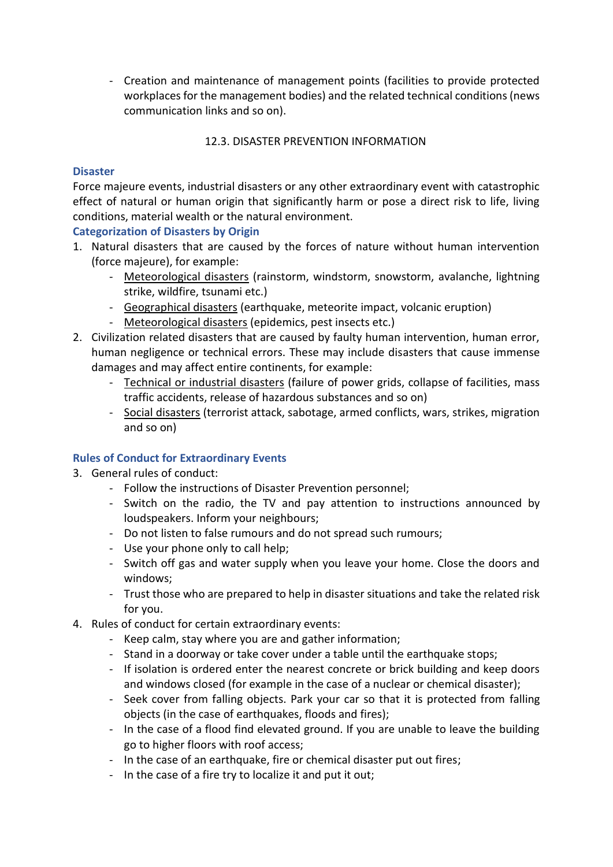- Creation and maintenance of management points (facilities to provide protected workplaces for the management bodies) and the related technical conditions (news communication links and so on).

## 12.3. DISASTER PREVENTION INFORMATION

#### **Disaster**

Force majeure events, industrial disasters or any other extraordinary event with catastrophic effect of natural or human origin that significantly harm or pose a direct risk to life, living conditions, material wealth or the natural environment.

## **Categorization of Disasters by Origin**

- 1. Natural disasters that are caused by the forces of nature without human intervention (force majeure), for example:
	- Meteorological disasters (rainstorm, windstorm, snowstorm, avalanche, lightning strike, wildfire, tsunami etc.)
	- Geographical disasters (earthquake, meteorite impact, volcanic eruption)
	- Meteorological disasters (epidemics, pest insects etc.)
- 2. Civilization related disasters that are caused by faulty human intervention, human error, human negligence or technical errors. These may include disasters that cause immense damages and may affect entire continents, for example:
	- Technical or industrial disasters (failure of power grids, collapse of facilities, mass traffic accidents, release of hazardous substances and so on)
	- Social disasters (terrorist attack, sabotage, armed conflicts, wars, strikes, migration and so on)

## **Rules of Conduct for Extraordinary Events**

- 3. General rules of conduct:
	- Follow the instructions of Disaster Prevention personnel;
	- Switch on the radio, the TV and pay attention to instructions announced by loudspeakers. Inform your neighbours;
	- Do not listen to false rumours and do not spread such rumours;
	- Use your phone only to call help;
	- Switch off gas and water supply when you leave your home. Close the doors and windows;
	- Trust those who are prepared to help in disaster situations and take the related risk for you.
- 4. Rules of conduct for certain extraordinary events:
	- Keep calm, stay where you are and gather information;
	- Stand in a doorway or take cover under a table until the earthquake stops;
	- If isolation is ordered enter the nearest concrete or brick building and keep doors and windows closed (for example in the case of a nuclear or chemical disaster);
	- Seek cover from falling objects. Park your car so that it is protected from falling objects (in the case of earthquakes, floods and fires);
	- In the case of a flood find elevated ground. If you are unable to leave the building go to higher floors with roof access;
	- In the case of an earthquake, fire or chemical disaster put out fires;
	- In the case of a fire try to localize it and put it out;